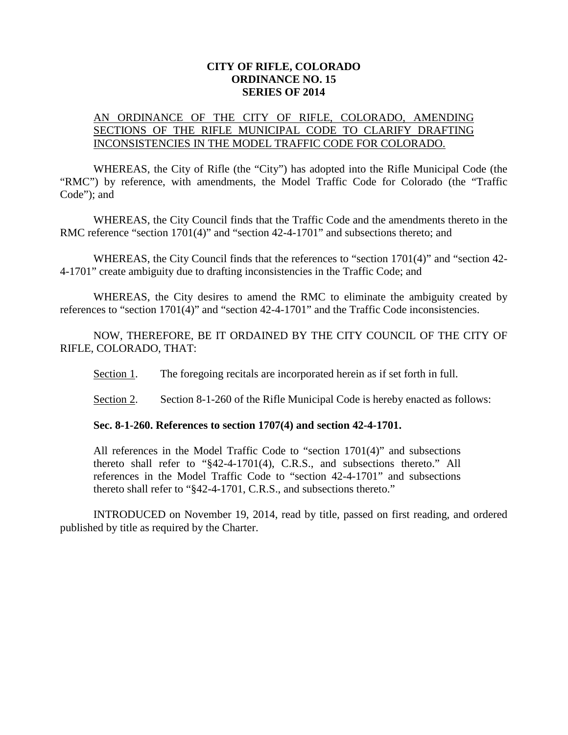## **CITY OF RIFLE, COLORADO ORDINANCE NO. 15 SERIES OF 2014**

## AN ORDINANCE OF THE CITY OF RIFLE, COLORADO, AMENDING SECTIONS OF THE RIFLE MUNICIPAL CODE TO CLARIFY DRAFTING INCONSISTENCIES IN THE MODEL TRAFFIC CODE FOR COLORADO.

WHEREAS, the City of Rifle (the "City") has adopted into the Rifle Municipal Code (the "RMC") by reference, with amendments, the Model Traffic Code for Colorado (the "Traffic Code"); and

WHEREAS, the City Council finds that the Traffic Code and the amendments thereto in the RMC reference "section 1701(4)" and "section 42-4-1701" and subsections thereto; and

WHEREAS, the City Council finds that the references to "section 1701(4)" and "section 42- 4-1701" create ambiguity due to drafting inconsistencies in the Traffic Code; and

WHEREAS, the City desires to amend the RMC to eliminate the ambiguity created by references to "section 1701(4)" and "section 42-4-1701" and the Traffic Code inconsistencies.

NOW, THEREFORE, BE IT ORDAINED BY THE CITY COUNCIL OF THE CITY OF RIFLE, COLORADO, THAT:

Section 1. The foregoing recitals are incorporated herein as if set forth in full.

Section 2. Section 8-1-260 of the Rifle Municipal Code is hereby enacted as follows:

## **Sec. 8-1-260. References to section 1707(4) and section 42-4-1701.**

All references in the Model Traffic Code to "section 1701(4)" and subsections thereto shall refer to "§42-4-1701(4), C.R.S., and subsections thereto." All references in the Model Traffic Code to "section 42-4-1701" and subsections thereto shall refer to "§42-4-1701, C.R.S., and subsections thereto."

INTRODUCED on November 19, 2014, read by title, passed on first reading, and ordered published by title as required by the Charter.